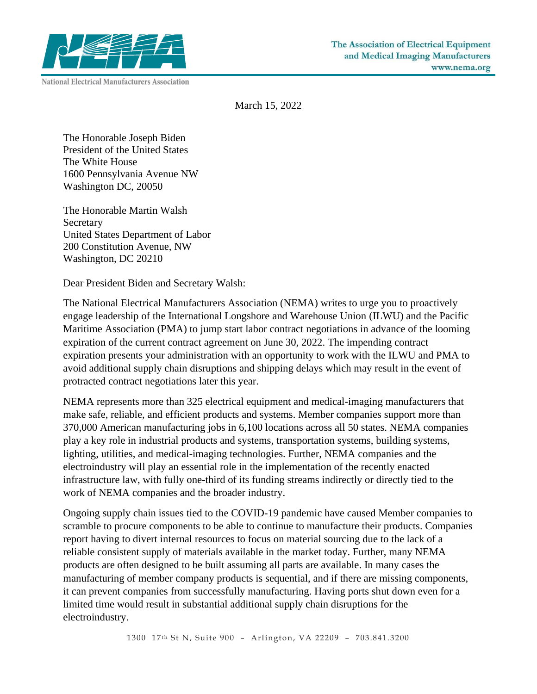

March 15, 2022

The Honorable Joseph Biden President of the United States The White House 1600 Pennsylvania Avenue NW Washington DC, 20050

The Honorable Martin Walsh **Secretary** United States Department of Labor 200 Constitution Avenue, NW Washington, DC 20210

Dear President Biden and Secretary Walsh:

The National Electrical Manufacturers Association (NEMA) writes to urge you to proactively engage leadership of the International Longshore and Warehouse Union (ILWU) and the Pacific Maritime Association (PMA) to jump start labor contract negotiations in advance of the looming expiration of the current contract agreement on June 30, 2022. The impending contract expiration presents your administration with an opportunity to work with the ILWU and PMA to avoid additional supply chain disruptions and shipping delays which may result in the event of protracted contract negotiations later this year.

NEMA represents more than 325 electrical equipment and medical-imaging manufacturers that make safe, reliable, and efficient products and systems. Member companies support more than 370,000 American manufacturing jobs in 6,100 locations across all 50 states. NEMA companies play a key role in industrial products and systems, transportation systems, building systems, lighting, utilities, and medical-imaging technologies. Further, NEMA companies and the electroindustry will play an essential role in the implementation of the recently enacted infrastructure law, with fully one-third of its funding streams indirectly or directly tied to the work of NEMA companies and the broader industry.

Ongoing supply chain issues tied to the COVID-19 pandemic have caused Member companies to scramble to procure components to be able to continue to manufacture their products. Companies report having to divert internal resources to focus on material sourcing due to the lack of a reliable consistent supply of materials available in the market today. Further, many NEMA products are often designed to be built assuming all parts are available. In many cases the manufacturing of member company products is sequential, and if there are missing components, it can prevent companies from successfully manufacturing. Having ports shut down even for a limited time would result in substantial additional supply chain disruptions for the electroindustry.